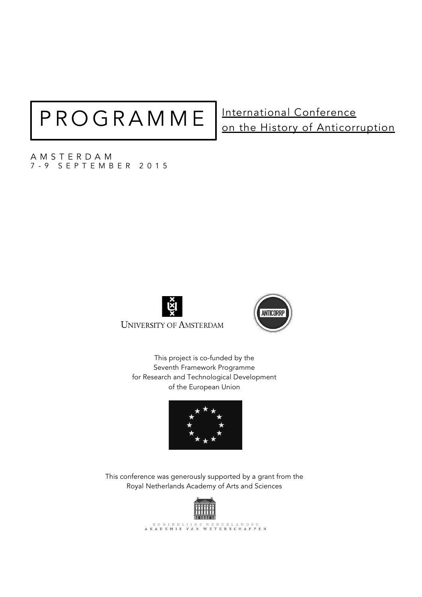# PROGRAMME | International Conference

# on the History of Anticorruption

AMSTERDAM 7 - 9 SEPTEMBER 2015





This project is co-funded by the Seventh Framework Programme for Research and Technological Development of the European Union



This conference was generously supported by a grant from the Royal Netherlands Academy of Arts and Sciences

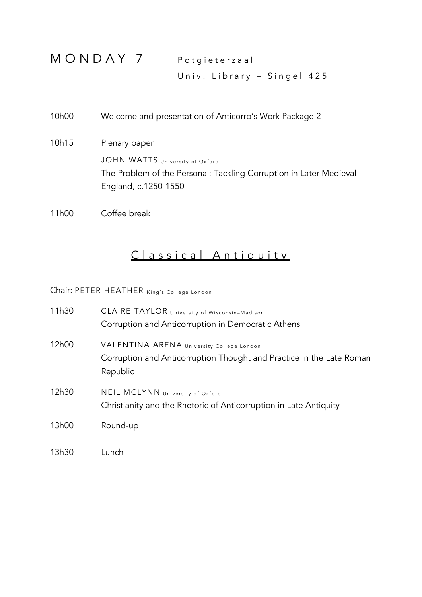MONDAY 7 Potgieterzaal Univ. Library – Singel 425

10h00 Welcome and presentation of Anticorrp's Work Package 2 10h15 Plenary paper JOHN WATTS University of Oxford The Problem of the Personal: Tackling Corruption in Later Medieval England, c.1250-1550

11h00 Coffee break

## Classical Antiquity

Chair: PETER HEATHER King's College London

| 11h30 | CLAIRE TAYLOR University of Wisconsin-Madison<br>Corruption and Anticorruption in Democratic Athens                           |
|-------|-------------------------------------------------------------------------------------------------------------------------------|
| 12h00 | VALENTINA ARENA University College London<br>Corruption and Anticorruption Thought and Practice in the Late Roman<br>Republic |
| 12h30 | NEIL MCLYNN University of Oxford<br>Christianity and the Rhetoric of Anticorruption in Late Antiquity                         |
| 13h00 | Round-up                                                                                                                      |
| 13h30 | Lunch                                                                                                                         |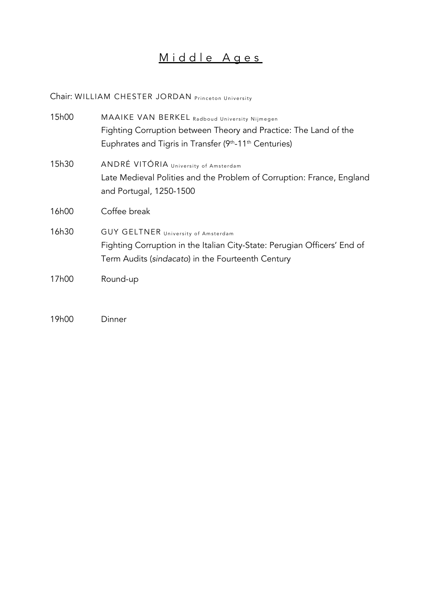### Middle Ages

Chair: WILLIAM CHESTER JORDAN Princeton University

| 15h00 | MAAIKE VAN BERKEL Radboud University Nijmegen<br>Fighting Corruption between Theory and Practice: The Land of the<br>Euphrates and Tigris in Transfer (9 <sup>th</sup> -11 <sup>th</sup> Centuries) |
|-------|-----------------------------------------------------------------------------------------------------------------------------------------------------------------------------------------------------|
| 15h30 | ANDRÉ VITÓRIA University of Amsterdam<br>Late Medieval Polities and the Problem of Corruption: France, England<br>and Portugal, 1250-1500                                                           |
| 16h00 | Coffee break                                                                                                                                                                                        |
| 16h30 | <b>GUY GELTNER</b> University of Amsterdam<br>Fighting Corruption in the Italian City-State: Perugian Officers' End of<br>Term Audits (sindacato) in the Fourteenth Century                         |
| 17h00 | Round-up                                                                                                                                                                                            |

19h00 Dinner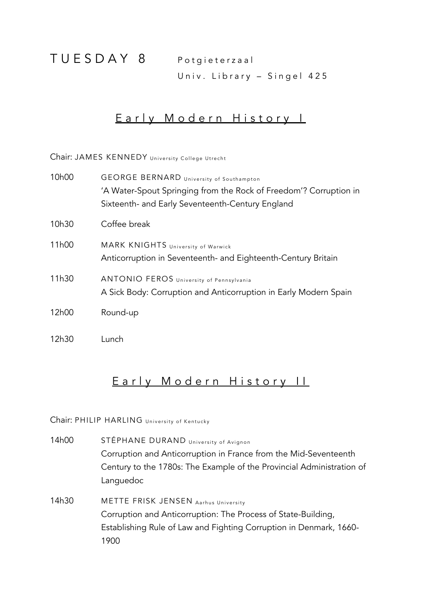TUESDAY 8 Potgieterzaal

Univ. Library – Singel 425

#### Early Modern History I

Chair: JAMES KENNEDY University College Utrecht

| 10h00 | <b>GEORGE BERNARD</b> University of Southampton<br>'A Water-Spout Springing from the Rock of Freedom'? Corruption in<br>Sixteenth- and Early Seventeenth-Century England |
|-------|--------------------------------------------------------------------------------------------------------------------------------------------------------------------------|
|       |                                                                                                                                                                          |
| 10h30 | Coffee break                                                                                                                                                             |
| 11h00 | MARK KNIGHTS University of Warwick<br>Anticorruption in Seventeenth- and Eighteenth-Century Britain                                                                      |
| 11h30 | ANTONIO FEROS University of Pennsylvania<br>A Sick Body: Corruption and Anticorruption in Early Modern Spain                                                             |
| 12h00 | Round-up                                                                                                                                                                 |
| 12h30 | Lunch                                                                                                                                                                    |

#### Early Modern History II

Chair: PHILIP HARLING University of Kentucky

14h00 STÉPHANE DURAND University of Avignon Corruption and Anticorruption in France from the Mid-Seventeenth Century to the 1780s: The Example of the Provincial Administration of Languedoc

14h30 METTE FRISK JENSEN Aarhus University Corruption and Anticorruption: The Process of State-Building, Establishing Rule of Law and Fighting Corruption in Denmark, 1660- 1900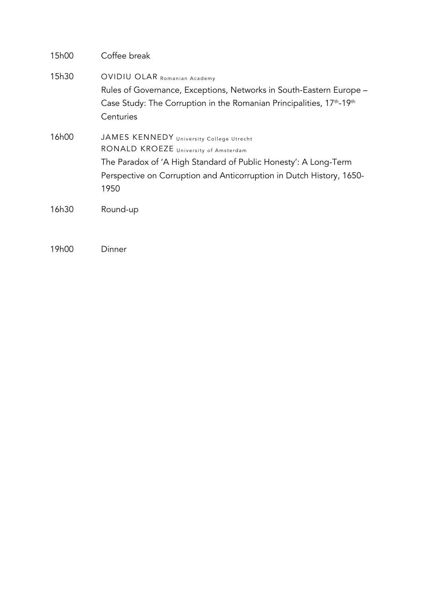| 15h00 | Coffee break                                                                                                                                                                                                                         |
|-------|--------------------------------------------------------------------------------------------------------------------------------------------------------------------------------------------------------------------------------------|
| 15h30 | OVIDIU OLAR Romanian Academy<br>Rules of Governance, Exceptions, Networks in South-Eastern Europe –<br>Case Study: The Corruption in the Romanian Principalities, 17 <sup>th</sup> -19 <sup>th</sup><br>Centuries                    |
| 16h00 | JAMES KENNEDY University College Utrecht<br>RONALD KROEZE University of Amsterdam<br>The Paradox of 'A High Standard of Public Honesty': A Long-Term<br>Perspective on Corruption and Anticorruption in Dutch History, 1650-<br>1950 |
| 16h30 | Round-up                                                                                                                                                                                                                             |

19h00 Dinner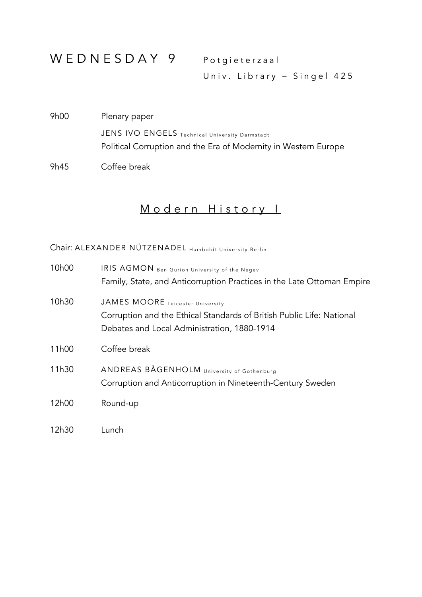## WEDNESDAY 9 Potgieterzaal

Univ. Library – Singel 425

9h00 Plenary paper JENS IVO ENGELS Technical University Darmstadt Political Corruption and the Era of Modernity in Western Europe

9h45 Coffee break

### Modern History I

Chair: ALEXANDER NÜTZENADEL Humboldt University Berlin

| 10 <sub>h</sub> 00 | IRIS AGMON Ben Gurion University of the Negev<br>Family, State, and Anticorruption Practices in the Late Ottoman Empire                                  |
|--------------------|----------------------------------------------------------------------------------------------------------------------------------------------------------|
| 10h30              | JAMES MOORE Leicester University<br>Corruption and the Ethical Standards of British Public Life: National<br>Debates and Local Administration, 1880-1914 |
| 11 <sub>h</sub> 00 | Coffee break                                                                                                                                             |
| 11h30              | ANDREAS BÅGENHOLM University of Gothenburg<br>Corruption and Anticorruption in Nineteenth-Century Sweden                                                 |
| 12h00              | Round-up                                                                                                                                                 |
| 12h30              | Lunch                                                                                                                                                    |